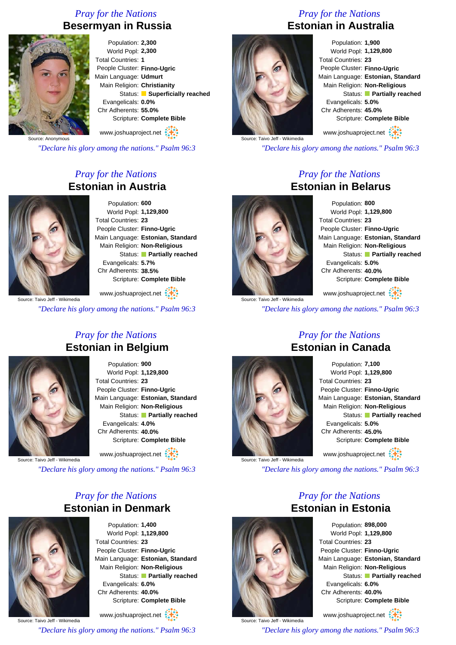### *Pray for the Nations* **Besermyan in Russia**



Population: **2,300** World Popl: **2,300** Total Countries: **1** People Cluster: **Finno-Ugric** Main Language: **Udmurt** Main Religion: **Christianity** Status: **Superficially reached** Evangelicals: **0.0%** Chr Adherents: **55.0%** Scripture: **Complete Bible** www.joshuaproject.net

*"Declare his glory among the nations." Psalm 96:3*

### *Pray for the Nations* **Estonian in Austria**



Population: **600** World Popl: **1,129,800** Total Countries: **23** People Cluster: **Finno-Ugric** Main Language: **Estonian, Standard** Main Religion: **Non-Religious** Status: **Partially reached** Evangelicals: **5.7%** Chr Adherents: **38.5%** Scripture: **Complete Bible**

www.joshuaproject.net

*"Declare his glory among the nations." Psalm 96:3*

### *Pray for the Nations* **Estonian in Belgium**



Population: **900** World Popl: **1,129,800** Total Countries: **23** People Cluster: **Finno-Ugric** Main Language: **Estonian, Standard** Main Religion: **Non-Religious** Status: **Partially reached** Evangelicals: **4.0%** Chr Adherents: **40.0%** Scripture: **Complete Bible**

www.joshuaproject.net

Source: Taivo Jeff - Wikimedia

*"Declare his glory among the nations." Psalm 96:3*

### *Pray for the Nations* **Estonian in Denmark**



Population: **1,400** World Popl: **1,129,800** Total Countries: **23** People Cluster: **Finno-Ugric** Main Language: **Estonian, Standard** Main Religion: **Non-Religious** Status: **Partially reached** Evangelicals: **6.0%** Chr Adherents: **40.0%** Scripture: **Complete Bible**

www.joshuaproject.net

Source: Taivo Jeff - Wikimedia

*"Declare his glory among the nations." Psalm 96:3*

### *Pray for the Nations* **Estonian in Australia**



Population: **1,900** World Popl: **1,129,800** Total Countries: **23** People Cluster: **Finno-Ugric** Main Language: **Estonian, Standard** Main Religion: **Non-Religious** Status: **Partially reached** Evangelicals: **5.0%** Chr Adherents: **45.0%** Scripture: **Complete Bible** www.joshuaproject.net

Source: Taivo Jeff - Wikimedia

*"Declare his glory among the nations." Psalm 96:3*

### *Pray for the Nations* **Estonian in Belarus**



Source: Taivo Jeff - Wikimedia

Population: **800** World Popl: **1,129,800** Total Countries: **23** People Cluster: **Finno-Ugric** Main Language: **Estonian, Standard** Main Religion: **Non-Religious** Status: **Partially reached** Evangelicals: **5.0%** Chr Adherents: **40.0%** Scripture: **Complete Bible**

www.joshuaproject.net

*"Declare his glory among the nations." Psalm 96:3*



Source: Taivo Jeff - Wikimedia

### *Pray for the Nations* **Estonian in Canada**

| Population: 7,100            |                                   |
|------------------------------|-----------------------------------|
| World Popl: 1,129,800        |                                   |
| Total Countries: 23          |                                   |
| People Cluster: Finno-Ugric  |                                   |
|                              | Main Language: Estonian, Standard |
| Main Religion: Non-Religious |                                   |
|                              | Status: Partially reached         |
| Evangelicals: 5.0%           |                                   |
| Chr Adherents: 45.0%         |                                   |
|                              | Scripture: Complete Bible         |
| www.joshuaproject.net        |                                   |

*"Declare his glory among the nations." Psalm 96:3*

*Pray for the Nations*



Source: Taivo Jeff - Wikimedia

Population: **898,000** World Popl: **1,129,800** Total Countries: **23** People Cluster: **Finno-Ugric** Main Language: **Estonian, Standard** Main Religion: **Non-Religious** Status: **Partially reached** Evangelicals: **6.0%** Chr Adherents: **40.0%** Scripture: **Complete Bible**

www.joshuaproject.net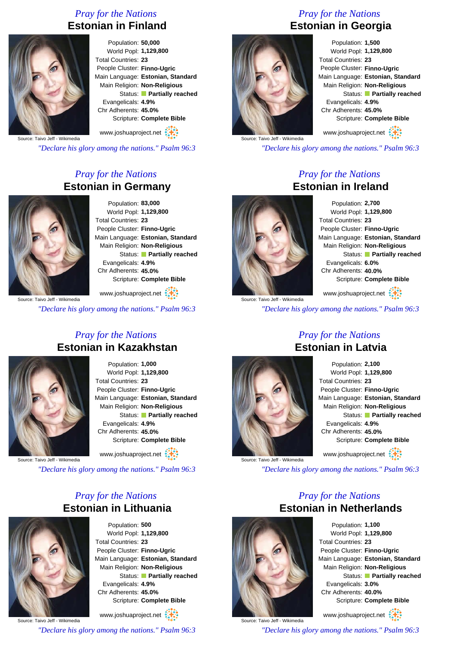### *Pray for the Nations* **Estonian in Finland**



Population: **50,000** World Popl: **1,129,800** Total Countries: **23** People Cluster: **Finno-Ugric** Main Language: **Estonian, Standard** Main Religion: **Non-Religious** Status: **Partially reached** Evangelicals: **4.9%** Chr Adherents: **45.0%** Scripture: **Complete Bible**

www.joshuaproject.net

Source: Taivo Jeff - Wikimedia

*"Declare his glory among the nations." Psalm 96:3*

### *Pray for the Nations* **Estonian in Germany**



Population: **83,000** World Popl: **1,129,800** Total Countries: **23** People Cluster: **Finno-Ugric** Main Language: **Estonian, Standard** Main Religion: **Non-Religious** Status: **Partially reached** Evangelicals: **4.9%** Chr Adherents: **45.0%** Scripture: **Complete Bible**

www.joshuaproject.net :

*"Declare his glory among the nations." Psalm 96:3*

### *Pray for the Nations* **Estonian in Kazakhstan**



Population: **1,000** World Popl: **1,129,800** Total Countries: **23** People Cluster: **Finno-Ugric** Main Language: **Estonian, Standard** Main Religion: **Non-Religious** Status: **Partially reached** Evangelicals: **4.9%** Chr Adherents: **45.0%** Scripture: **Complete Bible**

www.joshuaproject.net

Source: Taivo Jeff - Wikimedia

*"Declare his glory among the nations." Psalm 96:3*

### *Pray for the Nations* **Estonian in Lithuania**



Population: **500** World Popl: **1,129,800** Total Countries: **23** People Cluster: **Finno-Ugric** Main Language: **Estonian, Standard** Main Religion: **Non-Religious** Status: **Partially reached** Evangelicals: **4.9%** Chr Adherents: **45.0%** Scripture: **Complete Bible** www.joshuaproject.net

Source: Taivo Jeff - Wikimedia

*"Declare his glory among the nations." Psalm 96:3*

### *Pray for the Nations* **Estonian in Georgia**



Population: **1,500** World Popl: **1,129,800** Total Countries: **23** People Cluster: **Finno-Ugric** Main Language: **Estonian, Standard** Main Religion: **Non-Religious** Status: **Partially reached** Evangelicals: **4.9%** Chr Adherents: **45.0%** Scripture: **Complete Bible** www.joshuaproject.net

*"Declare his glory among the nations." Psalm 96:3*

### *Pray for the Nations* **Estonian in Ireland**



Source: Taivo Jeff - Wikimedia

Population: **2,700** World Popl: **1,129,800** Total Countries: **23** People Cluster: **Finno-Ugric** Main Language: **Estonian, Standard** Main Religion: **Non-Religious** Status: **Partially reached** Evangelicals: **6.0%** Chr Adherents: **40.0%** Scripture: **Complete Bible**

www.joshuaproject.net

*"Declare his glory among the nations." Psalm 96:3*



Source: Taivo Jeff - Wikimedia

Population: **2,100** World Popl: **1,129,800** Total Countries: **23** People Cluster: **Finno-Ugric** Main Language: **Estonian, Standard** Main Religion: **Non-Religious** Status: **Partially reached** Evangelicals: **4.9%** Chr Adherents: **45.0%** Scripture: **Complete Bible** www.joshuaproject.net

*"Declare his glory among the nations." Psalm 96:3*

*Pray for the Nations*



Source: Taivo Jeff - Wikimedia

Population: **1,100** World Popl: **1,129,800** Total Countries: **23** People Cluster: **Finno-Ugric** Main Language: **Estonian, Standard** Main Religion: **Non-Religious** Status: **Partially reached** Evangelicals: **3.0%** Chr Adherents: **40.0%** Scripture: **Complete Bible**

www.joshuaproject.net

*"Declare his glory among the nations." Psalm 96:3*

### *Pray for the Nations* **Estonian in Latvia**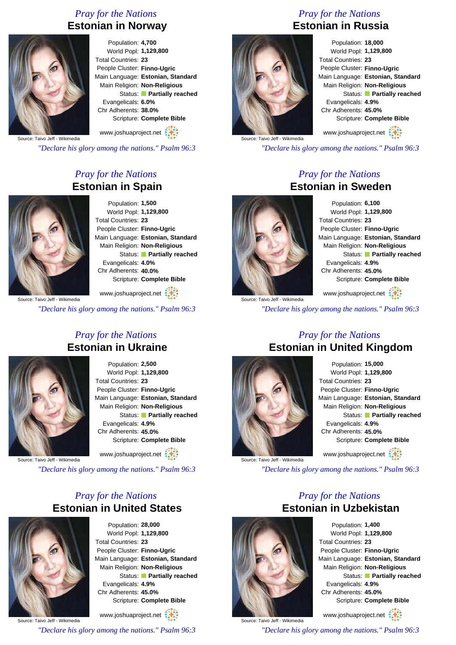### *Pray for the Nations* **Estonian in Norway**



Population: **4,700** World Popl: **1,129,800** Total Countries: **23** People Cluster: **Finno-Ugric** Main Language: **Estonian, Standard** Main Religion: **Non-Religious** Status: **Partially reached** Evangelicals: **6.0%** Chr Adherents: **38.0%** Scripture: **Complete Bible**

www.joshuaproject.net

Source: Taivo Jeff - Wikimedia

*"Declare his glory among the nations." Psalm 96:3*

### *Pray for the Nations* **Estonian in Spain**



Population: **1,500** World Popl: **1,129,800** Total Countries: **23** People Cluster: **Finno-Ugric** Main Language: **Estonian, Standard** Main Religion: **Non-Religious** Status: **Partially reached** Evangelicals: **4.0%** Chr Adherents: **40.0%** Scripture: **Complete Bible**

www.joshuaproject.net :

*"Declare his glory among the nations." Psalm 96:3*

### *Pray for the Nations* **Estonian in Ukraine**



Population: **2,500** World Popl: **1,129,800** Total Countries: **23** People Cluster: **Finno-Ugric** Main Language: **Estonian, Standard** Main Religion: **Non-Religious** Status: **Partially reached** Evangelicals: **4.9%** Chr Adherents: **45.0%** Scripture: **Complete Bible**

www.joshuaproject.net

Source: Taivo Jeff - Wikimedia

*"Declare his glory among the nations." Psalm 96:3*

### *Pray for the Nations* **Estonian in United States**



Population: **28,000** World Popl: **1,129,800** Total Countries: **23** People Cluster: **Finno-Ugric** Main Language: **Estonian, Standard** Main Religion: **Non-Religious** Status: **Partially reached** Evangelicals: **4.9%** Chr Adherents: **45.0%** Scripture: **Complete Bible** www.joshuaproject.net

Source: Taivo Jeff - Wikimedia

*"Declare his glory among the nations." Psalm 96:3*

### *Pray for the Nations* **Estonian in Russia**



Population: **18,000** World Popl: **1,129,800** Total Countries: **23** People Cluster: **Finno-Ugric** Main Language: **Estonian, Standard** Main Religion: **Non-Religious** Status: **Partially reached** Evangelicals: **4.9%** Chr Adherents: **45.0%** Scripture: **Complete Bible** www.joshuaproject.net

Source: Taivo Jeff - Wikimedia

*"Declare his glory among the nations." Psalm 96:3*

### *Pray for the Nations* **Estonian in Sweden**



Source: Taivo Jeff - Wikimedia

Population: **6,100** World Popl: **1,129,800** Total Countries: **23** People Cluster: **Finno-Ugric** Main Language: **Estonian, Standard** Main Religion: **Non-Religious** Status: **Partially reached** Evangelicals: **4.9%** Chr Adherents: **45.0%** Scripture: **Complete Bible**

www.joshuaproject.net

*"Declare his glory among the nations." Psalm 96:3*



Source: Taivo Jeff - Wikimedia

### *Pray for the Nations* **Estonian in United Kingdom**

Population: **15,000** World Popl: **1,129,800** Total Countries: **23** People Cluster: **Finno-Ugric** Main Language: **Estonian, Standard** Main Religion: **Non-Religious** Status: **Partially reached** Evangelicals: **4.9%** Chr Adherents: **45.0%** Scripture: **Complete Bible** www.joshuaproject.net

*"Declare his glory among the nations." Psalm 96:3*

*Pray for the Nations*



Source: Taivo Jeff - Wikimedia

Population: **1,400** World Popl: **1,129,800** Total Countries: **23** People Cluster: **Finno-Ugric** Main Language: **Estonian, Standard** Main Religion: **Non-Religious** Status: **Partially reached** Evangelicals: **4.9%** Chr Adherents: **45.0%** Scripture: **Complete Bible**

www.joshuaproject.net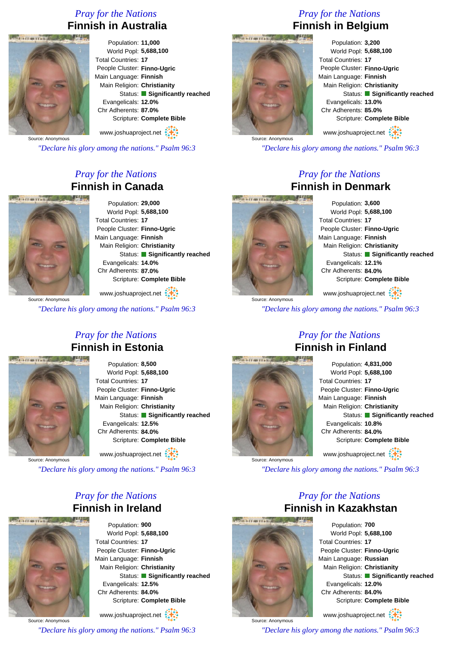### *Pray for the Nations* **Finnish in Australia**



Population: **11,000** World Popl: **5,688,100** Total Countries: **17** People Cluster: **Finno-Ugric** Main Language: **Finnish** Main Religion: **Christianity** Status: **Significantly reached** Evangelicals: **12.0%** Chr Adherents: **87.0%** Scripture: **Complete Bible**

Source: Anonymous www.joshuaproject.net

*"Declare his glory among the nations." Psalm 96:3*

### *Pray for the Nations* **Finnish in Canada**



Source: Anonymous

Population: **29,000** World Popl: **5,688,100** Total Countries: **17** People Cluster: **Finno-Ugric** Main Language: **Finnish** Main Religion: **Christianity** Status: **Significantly reached** Evangelicals: **14.0%** Chr Adherents: **87.0%** Scripture: **Complete Bible**

www.joshuaproject.net

*"Declare his glory among the nations." Psalm 96:3*

*Pray for the Nations*

## **Finnish in Estonia**



Population: **8,500** World Popl: **5,688,100** Total Countries: **17** People Cluster: **Finno-Ugric** Main Language: **Finnish** Main Religion: **Christianity** Status: **Significantly reached** Evangelicals: **12.5%** Chr Adherents: **84.0%** Scripture: **Complete Bible** www.joshuaproject.net

Source: Anonymous

*"Declare his glory among the nations." Psalm 96:3*

### *Pray for the Nations* **Finnish in Ireland**



Population: **900** World Popl: **5,688,100** Total Countries: **17** People Cluster: **Finno-Ugric** Main Language: **Finnish** Main Religion: **Christianity** Status: **Significantly reached** Evangelicals: **12.5%** Chr Adherents: **84.0%** Scripture: **Complete Bible**

Source: Anonymous www.joshuaproject.net *"Declare his glory among the nations." Psalm 96:3*

### *Pray for the Nations* **Finnish in Belgium**



Population: **3,200** World Popl: **5,688,100** Total Countries: **17** People Cluster: **Finno-Ugric** Main Language: **Finnish** Main Religion: **Christianity** Status: **Significantly reached** Evangelicals: **13.0%** Chr Adherents: **85.0%** Scripture: **Complete Bible** www.joshuaproject.net

*"Declare his glory among the nations." Psalm 96:3*

### *Pray for the Nations* **Finnish in Denmark**



Population: **3,600** World Popl: **5,688,100** Total Countries: **17** People Cluster: **Finno-Ugric** Main Language: **Finnish** Main Religion: **Christianity** Status: **Significantly reached** Evangelicals: **12.1%** Chr Adherents: **84.0%** Scripture: **Complete Bible** www.joshuaproject.net

*"Declare his glory among the nations." Psalm 96:3*



Source: Anonymous

### *Pray for the Nations* **Finnish in Finland**

Population: **4,831,000** World Popl: **5,688,100** Total Countries: **17** People Cluster: **Finno-Ugric** Main Language: **Finnish** Main Religion: **Christianity** Status: **Significantly reached** Evangelicals: **10.8%** Chr Adherents: **84.0%** Scripture: **Complete Bible** www.joshuaproject.net

*"Declare his glory among the nations." Psalm 96:3*

### *Pray for the Nations* **Finnish in Kazakhstan**



Source: Anonymous

Population: **700** World Popl: **5,688,100** Total Countries: **17** People Cluster: **Finno-Ugric** Main Language: **Russian** Main Religion: **Christianity** Status: **Significantly reached** Evangelicals: **12.0%** Chr Adherents: **84.0%** Scripture: **Complete Bible** www.joshuaproject.net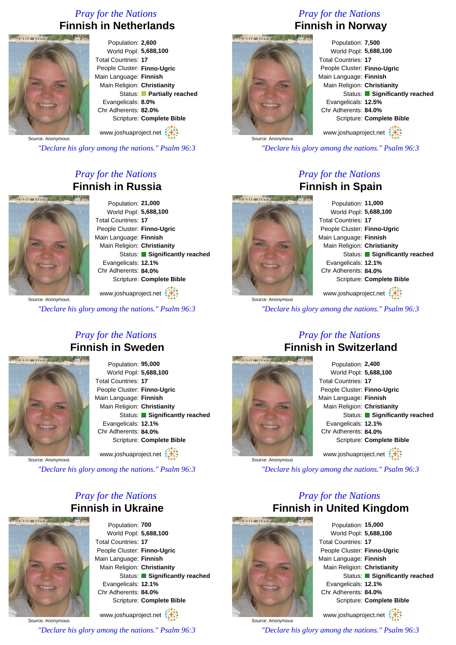### *Pray for the Nations* **Finnish in Netherlands**



Population: **2,600** World Popl: **5,688,100** Total Countries: **17** People Cluster: **Finno-Ugric** Main Language: **Finnish** Main Religion: **Christianity** Status: **Partially reached** Evangelicals: **8.0%** Chr Adherents: **82.0%** Scripture: **Complete Bible**

www.joshuaproject.net

*"Declare his glory among the nations." Psalm 96:3*

### *Pray for the Nations* **Finnish in Russia**



Population: **21,000** World Popl: **5,688,100** Total Countries: **17** People Cluster: **Finno-Ugric** Main Language: **Finnish** Main Religion: **Christianity** Status: **Significantly reached** Evangelicals: **12.1%** Chr Adherents: **84.0%** Scripture: **Complete Bible**

Source: Anonymous www.joshuaproject.net

*"Declare his glory among the nations." Psalm 96:3*

### *Pray for the Nations* **Finnish in Sweden**



Population: **95,000** World Popl: **5,688,100** Total Countries: **17** People Cluster: **Finno-Ugric** Main Language: **Finnish** Main Religion: **Christianity** Status: **Significantly reached** Evangelicals: **12.1%** Chr Adherents: **84.0%** Scripture: **Complete Bible** www.joshuaproject.net

Source: Anonymous

*"Declare his glory among the nations." Psalm 96:3*

### *Pray for the Nations* **Finnish in Ukraine**



Population: **700** World Popl: **5,688,100** Total Countries: **17** People Cluster: **Finno-Ugric** Main Language: **Finnish** Main Religion: **Christianity** Status: **Significantly reached** Evangelicals: **12.1%** Chr Adherents: **84.0%** Scripture: **Complete Bible**

Source: Anonymous www.joshuaproject.net *"Declare his glory among the nations." Psalm 96:3*

### *Pray for the Nations* **Finnish in Norway**



*"Declare his glory among the nations." Psalm 96:3*

### *Pray for the Nations* **Finnish in Spain**



Population: **11,000** World Popl: **5,688,100** Total Countries: **17** People Cluster: **Finno-Ugric** Main Language: **Finnish** Main Religion: **Christianity** Status: **Significantly reached** Evangelicals: **12.1%** Chr Adherents: **84.0%** Scripture: **Complete Bible** www.joshuaproject.net

*"Declare his glory among the nations." Psalm 96:3*

### *Pray for the Nations* **Finnish in Switzerland**





*"Declare his glory among the nations." Psalm 96:3*

### *Pray for the Nations* **Finnish in United Kingdom**



Source: Anonymous

Population: **15,000** World Popl: **5,688,100** Total Countries: **17** People Cluster: **Finno-Ugric** Main Language: **Finnish** Main Religion: **Christianity** Status: **Significantly reached** Evangelicals: **12.1%** Chr Adherents: **84.0%** Scripture: **Complete Bible**

www.joshuaproject.net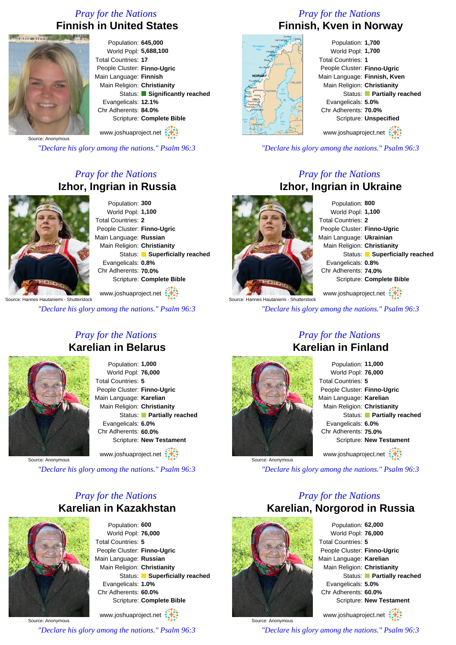### *Pray for the Nations* **Finnish in United States**



Population: **645,000** World Popl: **5,688,100** Total Countries: **17** People Cluster: **Finno-Ugric** Main Language: **Finnish** Main Religion: **Christianity** Status: **Significantly reached** Evangelicals: **12.1%** Chr Adherents: **84.0%** Scripture: **Complete Bible** www.joshuaproject.net

Source: Anonymous

*"Declare his glory among the nations." Psalm 96:3*

### *Pray for the Nations* **Izhor, Ingrian in Russia**



Population: **300** World Popl: **1,100** Total Countries: **2** People Cluster: **Finno-Ugric** Main Language: **Russian** Main Religion: **Christianity** Status: **Superficially reached** Evangelicals: **0.8%** Chr Adherents: **70.0%** Scripture: **Complete Bible**

www.joshuaproject.net

*"Declare his glory among the nations." Psalm 96:3*

### *Pray for the Nations* **Karelian in Belarus**



Population: **1,000** World Popl: **76,000** Total Countries: **5** People Cluster: **Finno-Ugric** Main Language: **Karelian** Main Religion: **Christianity** Status: **Partially reached** Evangelicals: **6.0%** Chr Adherents: **60.0%** Scripture: **New Testament** www.joshuaproject.net

Source: Anonymous

*"Declare his glory among the nations." Psalm 96:3*

### *Pray for the Nations* **Karelian in Kazakhstan**



Population: **600** World Popl: **76,000** Total Countries: **5** People Cluster: **Finno-Ugric** Main Language: **Russian** Main Religion: **Christianity** Status: **Superficially reached** Evangelicals: **1.0%** Chr Adherents: **60.0%** Scripture: **Complete Bible** www.joshuaproject.net

Source: Anonymous

*"Declare his glory among the nations." Psalm 96:3*

### *Pray for the Nations* **Finnish, Kven in Norway**

| w                                   | <b>lard</b><br>Hammerfest." |
|-------------------------------------|-----------------------------|
| Norwegian<br>ò.<br>Sea              | Tromsg<br>Harstad           |
|                                     | <b>Marvik</b>               |
| Bodo,                               | Archio Cincle               |
| Mo i Rana                           |                             |
| <b>NORWAY</b>                       |                             |
| Trondheim                           | <b>FINLAN</b>               |
| Alesund<br>Galdhapiggen<br>Florp,   | <b>SWEDEN</b>               |
| Bergen Hamar<br>OSLO                | Bottinia                    |
| Drammen <sub>3</sub><br>Fredrikstad | ٥                           |
| Stavanger.<br>Kristiansand          |                             |
| North                               | LAT.                        |
| $S_{0.2}$<br><b>DENMARK</b>         | <b>Bahic</b><br>Seo<br>LIT) |
| GER                                 | ь<br>RUS.<br>POL            |
|                                     |                             |

### Population: **1,700** World Popl: **1,700** Total Countries: **1** People Cluster: **Finno-Ugric** Main Language: **Finnish, Kven** Main Religion: **Christianity** Status: **Partially reached** Evangelicals: **5.0%** Chr Adherents: **70.0%** Scripture: **Unspecified** www.joshuaproject.net

*"Declare his glory among the nations." Psalm 96:3*

### *Pray for the Nations* **Izhor, Ingrian in Ukraine**

e: Hannes Hautaniemi - Shutterstock

Population: **800** World Popl: **1,100** Total Countries: **2** People Cluster: **Finno-Ugric** Main Language: **Ukrainian** Main Religion: **Christianity** Status: **Superficially reached** Evangelicals: **0.8%** Chr Adherents: **74.0%** Scripture: **Complete Bible** www.joshuaproject.net

*"Declare his glory among the nations." Psalm 96:3*



Source: Anonymous

### *Pray for the Nations* **Karelian in Finland**

Population: **11,000** World Popl: **76,000** Total Countries: **5** People Cluster: **Finno-Ugric** Main Language: **Karelian** Main Religion: **Christianity** Status: **Partially reached** Evangelicals: **6.0%** Chr Adherents: **75.0%** Scripture: **New Testament** www.joshuaproject.net

*"Declare his glory among the nations." Psalm 96:3*

### *Pray for the Nations* **Karelian, Norgorod in Russia**



Source: Anonymous

Population: **62,000** World Popl: **76,000** Total Countries: **5** People Cluster: **Finno-Ugric** Main Language: **Karelian** Main Religion: **Christianity** Status: **Partially reached** Evangelicals: **5.0%** Chr Adherents: **60.0%** Scripture: **New Testament**

www.joshuaproject.net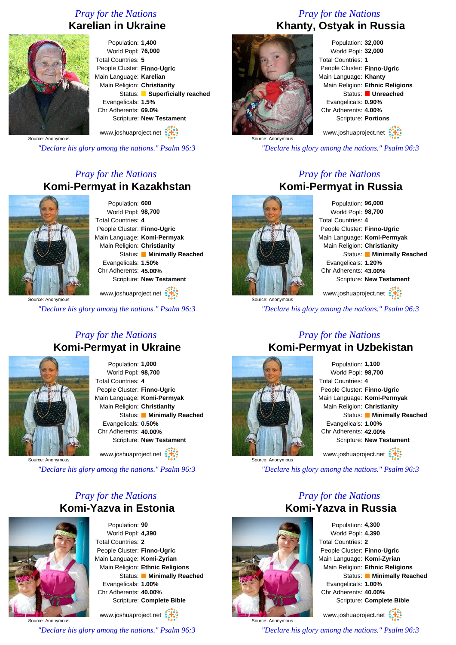### *Pray for the Nations* **Karelian in Ukraine**



Population: **1,400** World Popl: **76,000** Total Countries: **5** People Cluster: **Finno-Ugric** Main Language: **Karelian** Main Religion: **Christianity** Status: **Superficially reached** Evangelicals: **1.5%** Chr Adherents: **69.0%** Scripture: **New Testament** www.joshuaproject.net

Source: Anonymous

*"Declare his glory among the nations." Psalm 96:3*

### *Pray for the Nations* **Komi-Permyat in Kazakhstan**



Population: **600** World Popl: **98,700** Total Countries: **4** People Cluster: **Finno-Ugric** Main Language: **Komi-Permyak** Main Religion: **Christianity** Status: **Minimally Reached** Evangelicals: **1.50%** Chr Adherents: **45.00%** Scripture: **New Testament**

www.joshuaproject.net

*"Declare his glory among the nations." Psalm 96:3*

### *Pray for the Nations* **Komi-Permyat in Ukraine**



Population: **1,000** World Popl: **98,700** Total Countries: **4** People Cluster: **Finno-Ugric** Main Language: **Komi-Permyak** Main Religion: **Christianity** Status: **Minimally Reached** Evangelicals: **0.50%** Chr Adherents: **40.00%** Scripture: **New Testament** www.joshuaproject.net

Source: Anonymous

*"Declare his glory among the nations." Psalm 96:3*

### *Pray for the Nations* **Komi-Yazva in Estonia**



Population: **90** World Popl: **4,390** Total Countries: **2** People Cluster: **Finno-Ugric** Main Language: **Komi-Zyrian** Main Religion: **Ethnic Religions** Status: **Minimally Reached** Evangelicals: **1.00%** Chr Adherents: **40.00%** Scripture: **Complete Bible**

Source: Anonymous www.joshuaproject.net *"Declare his glory among the nations." Psalm 96:3*

### *Pray for the Nations* **Khanty, Ostyak in Russia**



Population: **32,000** World Popl: **32,000** Total Countries: **1** People Cluster: **Finno-Ugric** Main Language: **Khanty** Main Religion: **Ethnic Religions** Status: **Unreached** Evangelicals: **0.90%** Chr Adherents: **4.00%** Scripture: **Portions**

www.joshuaproject.net

*"Declare his glory among the nations." Psalm 96:3*

### *Pray for the Nations* **Komi-Permyat in Russia**

Population: **96,000** World Popl: **98,700** Total Countries: **4** People Cluster: **Finno-Ugric** Main Language: **Komi-Permyak** Main Religion: **Christianity** Status: **Minimally Reached** Evangelicals: **1.20%** Chr Adherents: **43.00%** Scripture: **New Testament**

www.joshuaproject.net

*"Declare his glory among the nations." Psalm 96:3*

### *Pray for the Nations* **Komi-Permyat in Uzbekistan**



Population: **1,100** World Popl: **98,700** Total Countries: **4** People Cluster: **Finno-Ugric** Main Language: **Komi-Permyak** Main Religion: **Christianity** Status: **Minimally Reached** Evangelicals: **1.00%** Chr Adherents: **42.00%** Scripture: **New Testament** www.joshuaproject.net

*"Declare his glory among the nations." Psalm 96:3*

### *Pray for the Nations* **Komi-Yazva in Russia**



Source: Anonymous *"Declare his glory among the nations." Psalm 96:3*

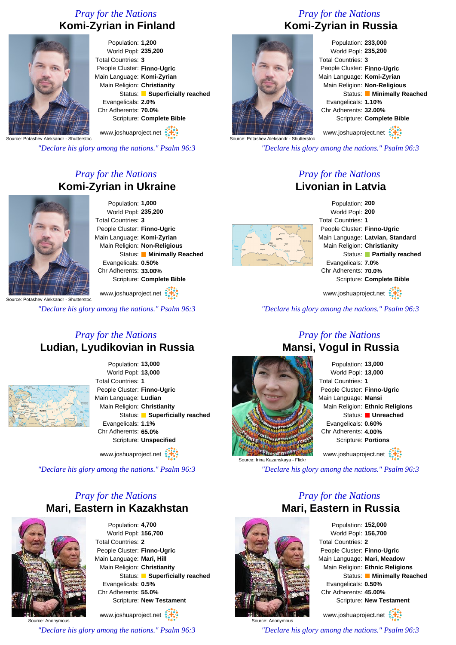### *Pray for the Nations* **Komi-Zyrian in Finland**



Population: **1,200** World Popl: **235,200** Total Countries: **3** People Cluster: **Finno-Ugric** Main Language: **Komi-Zyrian** Main Religion: **Christianity** Status: **Superficially reached** Evangelicals: **2.0%** Chr Adherents: **70.0%** Scripture: **Complete Bible**

Source: Potashev Aleksandr - Shutterstoc www.joshuaproject.net

*"Declare his glory among the nations." Psalm 96:3*

### *Pray for the Nations* **Komi-Zyrian in Ukraine**



Population: **1,000** World Popl: **235,200** Total Countries: **3** People Cluster: **Finno-Ugric** Main Language: **Komi-Zyrian** Main Religion: **Non-Religious** Status: **Minimally Reached** Evangelicals: **0.50%** Chr Adherents: **33.00%** Scripture: **Complete Bible**

Source: Potashev Aleksandr - Shutterstoc www.joshuaproject.net

*"Declare his glory among the nations." Psalm 96:3*

### *Pray for the Nations* **Ludian, Lyudikovian in Russia**



Population: **13,000** World Popl: **13,000** Total Countries: **1** People Cluster: **Finno-Ugric** Main Language: **Ludian** Main Religion: **Christianity** Status: **Superficially reached** Evangelicals: **1.1%** Chr Adherents: **65.0%** Scripture: **Unspecified**

www.joshuaproject.net

*"Declare his glory among the nations." Psalm 96:3*

### *Pray for the Nations* **Mari, Eastern in Kazakhstan**



Source: Anonymous

Population: **4,700** World Popl: **156,700** Total Countries: **2** People Cluster: **Finno-Ugric** Main Language: **Mari, Hill** Main Religion: **Christianity** Status: **Superficially reached** Evangelicals: **0.5%** Chr Adherents: **55.0%** Scripture: **New Testament**

www.joshuaproject.net

*"Declare his glory among the nations." Psalm 96:3*

### *Pray for the Nations* **Komi-Zyrian in Russia**



Source: Potashev Aleksandr

Population: **233,000** World Popl: **235,200** Total Countries: **3** People Cluster: **Finno-Ugric** Main Language: **Komi-Zyrian** Main Religion: **Non-Religious** Status: **Minimally Reached** Evangelicals: **1.10%** Chr Adherents: **32.00%** Scripture: **Complete Bible**

www.joshuaproject.net

*"Declare his glory among the nations." Psalm 96:3*

### *Pray for the Nations* **Livonian in Latvia**



Population: **200** World Popl: **200** Total Countries: **1** People Cluster: **Finno-Ugric** Main Language: **Latvian, Standard** Main Religion: **Christianity** Status: **Partially reached** Evangelicals: **7.0%** Chr Adherents: **70.0%** Scripture: **Complete Bible**

www.joshuaproject.net

*"Declare his glory among the nations." Psalm 96:3*

### *Pray for the Nations* **Mansi, Vogul in Russia**



Source: Irina Kazanskaya - Flickr *"Declare his glory among the nations." Psalm 96:3*

### *Pray for the Nations* **Mari, Eastern in Russia**



Source: Anonymous

Population: **152,000** World Popl: **156,700** Total Countries: **2** People Cluster: **Finno-Ugric** Main Language: **Mari, Meadow** Main Religion: **Ethnic Religions** Status: **Minimally Reached** Evangelicals: **0.50%** Chr Adherents: **45.00%** Scripture: **New Testament** www.joshuaproject.net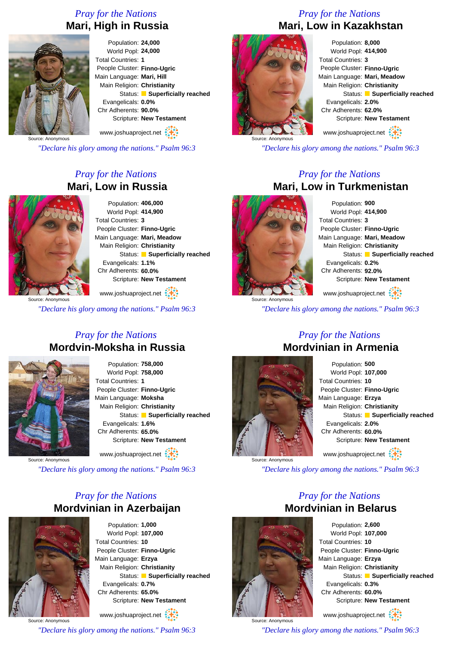### *Pray for the Nations* **Mari, High in Russia**



Population: **24,000** World Popl: **24,000** Total Countries: **1** People Cluster: **Finno-Ugric** Main Language: **Mari, Hill** Main Religion: **Christianity** Status: **Superficially reached** Evangelicals: **0.0%** Chr Adherents: **90.0%** Scripture: **New Testament** www.joshuaproject.net

*"Declare his glory among the nations." Psalm 96:3*

### *Pray for the Nations* **Mari, Low in Russia**



Population: **406,000** World Popl: **414,900** Total Countries: **3** People Cluster: **Finno-Ugric** Main Language: **Mari, Meadow** Main Religion: **Christianity** Status: **Superficially reached** Evangelicals: **1.1%** Chr Adherents: **60.0%** Scripture: **New Testament**

www.joshuaproject.net

*"Declare his glory among the nations." Psalm 96:3*

### *Pray for the Nations* **Mordvin-Moksha in Russia**



Population: **758,000** World Popl: **758,000** Total Countries: **1** People Cluster: **Finno-Ugric** Main Language: **Moksha** Main Religion: **Christianity** Status: **Superficially reached** Evangelicals: **1.6%** Chr Adherents: **65.0%** Scripture: **New Testament** www.joshuaproject.net

Source: Anonymous

*"Declare his glory among the nations." Psalm 96:3*

### *Pray for the Nations* **Mordvinian in Azerbaijan**



Population: **1,000** World Popl: **107,000** Total Countries: **10** People Cluster: **Finno-Ugric** Main Language: **Erzya** Main Religion: **Christianity** Status: **Superficially reached** Evangelicals: **0.7%** Chr Adherents: **65.0%** Scripture: **New Testament**

www.joshuaproject.net

*"Declare his glory among the nations." Psalm 96:3*

### *Pray for the Nations* **Mari, Low in Kazakhstan**



Population: **8,000** World Popl: **414,900** Total Countries: **3** People Cluster: **Finno-Ugric** Main Language: **Mari, Meadow** Main Religion: **Christianity** Status: **Superficially reached** Evangelicals: **2.0%** Chr Adherents: **62.0%** Scripture: **New Testament** www.joshuaproject.net

*"Declare his glory among the nations." Psalm 96:3*

### *Pray for the Nations* **Mari, Low in Turkmenistan**



Population: **900** World Popl: **414,900** Total Countries: **3** People Cluster: **Finno-Ugric** Main Language: **Mari, Meadow** Main Religion: **Christianity** Status: **Superficially reached** Evangelicals: **0.2%** Chr Adherents: **92.0%** Scripture: **New Testament** www.joshuaproject.net

Source: Anonymous

*"Declare his glory among the nations." Psalm 96:3*

*Pray for the Nations*

# **Mordvinian in Armenia** Source: Anonymous

### Population: **500** World Popl: **107,000** Total Countries: **10** People Cluster: **Finno-Ugric** Main Language: **Erzya** Main Religion: **Christianity** Status: **Superficially reached** Evangelicals: **2.0%** Chr Adherents: **60.0%** Scripture: **New Testament** www.joshuaproject.net

*"Declare his glory among the nations." Psalm 96:3*

### *Pray for the Nations* **Mordvinian in Belarus**



Source: Anonymous

Population: **2,600** World Popl: **107,000** Total Countries: **10** People Cluster: **Finno-Ugric** Main Language: **Erzya** Main Religion: **Christianity** Status: **Superficially reached** Evangelicals: **0.3%** Chr Adherents: **60.0%** Scripture: **New Testament** www.joshuaproject.net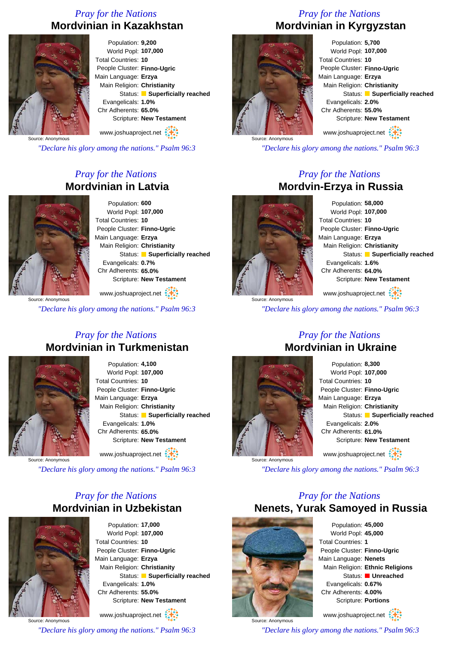### *Pray for the Nations* **Mordvinian in Kazakhstan**



Population: **9,200** World Popl: **107,000** Total Countries: **10** People Cluster: **Finno-Ugric** Main Language: **Erzya** Main Religion: **Christianity** Status: **Superficially reached** Evangelicals: **1.0%** Chr Adherents: **65.0%** Scripture: **New Testament** www.joshuaproject.net

Source: Anonymous

*"Declare his glory among the nations." Psalm 96:3*

### *Pray for the Nations* **Mordvinian in Latvia**



Population: **600** World Popl: **107,000** Total Countries: **10** People Cluster: **Finno-Ugric** Main Language: **Erzya** Main Religion: **Christianity** Status: **Superficially reached** Evangelicals: **0.7%** Chr Adherents: **65.0%** Scripture: **New Testament**

www.joshuaproject.net

*"Declare his glory among the nations." Psalm 96:3*

### *Pray for the Nations* **Mordvinian in Turkmenistan**



Population: **4,100** World Popl: **107,000** Total Countries: **10** People Cluster: **Finno-Ugric** Main Language: **Erzya** Main Religion: **Christianity** Status: **Superficially reached** Evangelicals: **1.0%** Chr Adherents: **65.0%** Scripture: **New Testament** www.joshuaproject.net

Source: Anonymous

*"Declare his glory among the nations." Psalm 96:3*

### *Pray for the Nations* **Mordvinian in Uzbekistan**



Source: Anonymous

Population: **17,000** World Popl: **107,000** Total Countries: **10** People Cluster: **Finno-Ugric** Main Language: **Erzya** Main Religion: **Christianity** Status: **Superficially reached** Evangelicals: **1.0%** Chr Adherents: **55.0%** Scripture: **New Testament**

www.joshuaproject.net

*"Declare his glory among the nations." Psalm 96:3*

### *Pray for the Nations* **Mordvinian in Kyrgyzstan**



Population: **5,700** World Popl: **107,000** Total Countries: **10** People Cluster: **Finno-Ugric** Main Language: **Erzya** Main Religion: **Christianity** Status: **Superficially reached** Evangelicals: **2.0%** Chr Adherents: **55.0%** Scripture: **New Testament** www.joshuaproject.net

*"Declare his glory among the nations." Psalm 96:3*

### *Pray for the Nations* **Mordvin-Erzya in Russia**

Population: **58,000** World Popl: **107,000** Total Countries: **10** People Cluster: **Finno-Ugric** Main Language: **Erzya** Main Religion: **Christianity** Status: **Superficially reached** Evangelicals: **1.6%** Chr Adherents: **64.0%** Scripture: **New Testament**

*"Declare his glory among the nations." Psalm 96:3*



### *Pray for the Nations* **Mordvinian in Ukraine**

Population: **8,300** World Popl: **107,000** Total Countries: **10** People Cluster: **Finno-Ugric** Main Language: **Erzya** Main Religion: **Christianity** Status: **Superficially reached** Evangelicals: **2.0%** Chr Adherents: **61.0%** Scripture: **New Testament** www.joshuaproject.net

*"Declare his glory among the nations." Psalm 96:3*

### *Pray for the Nations* **Nenets, Yurak Samoyed in Russia**



Source: Anonymous

Population: **45,000** World Popl: **45,000** Total Countries: **1** People Cluster: **Finno-Ugric** Main Language: **Nenets** Main Religion: **Ethnic Religions** Status: **Unreached** Evangelicals: **0.67%** Chr Adherents: **4.00%** Scripture: **Portions**

www.joshuaproject.net

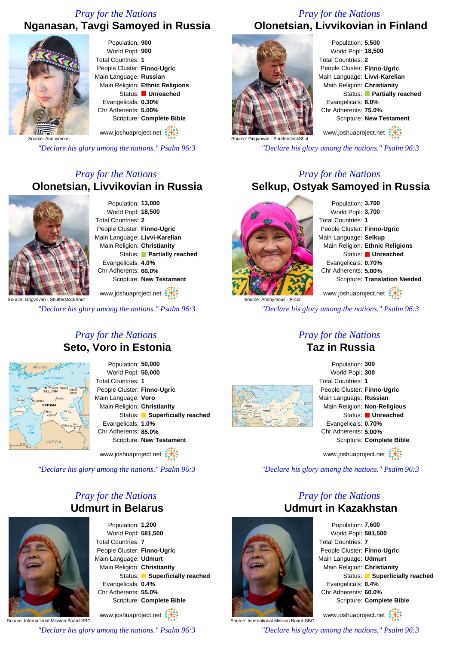### *Pray for the Nations* **Nganasan, Tavgi Samoyed in Russia**



*"Declare his glory among the nations." Psalm 96:3*

### *Pray for the Nations* **Olonetsian, Livvikovian in Russia**



Population: **13,000** World Popl: **18,500** Total Countries: **2** People Cluster: **Finno-Ugric** Main Language: **Livvi-Karelian** Main Religion: **Christianity** Status: **Partially reached** Evangelicals: **4.0%** Chr Adherents: **60.0%** Scripture: **New Testament**

www.joshuaproject.net

*"Declare his glory among the nations." Psalm 96:3*

### *Pray for the Nations* **Seto, Voro in Estonia**



Population: **50,000** World Popl: **50,000** Total Countries: **1** People Cluster: **Finno-Ugric** Main Language: **Voro** Main Religion: **Christianity** Status: **Superficially reached** Evangelicals: **1.0%** Chr Adherents: **85.0%** Scripture: **New Testament**

www.joshuaproject.net

*"Declare his glory among the nations." Psalm 96:3*

### *Pray for the Nations* **Udmurt in Belarus**



Population: **1,200** World Popl: **581,500** Total Countries: **7** People Cluster: **Finno-Ugric** Main Language: **Udmurt** Main Religion: **Christianity** Status: **Superficially reached** Evangelicals: **0.4%** Chr Adherents: **55.0%** Scripture: **Complete Bible**

Source: International Mission Board-SBC www.joshuaproject.net

*"Declare his glory among the nations." Psalm 96:3*

### *Pray for the Nations* **Olonetsian, Livvikovian in Finland**



Population: **5,500** World Popl: **18,500** Total Countries: **2** People Cluster: **Finno-Ugric** Main Language: **Livvi-Karelian** Main Religion: **Christianity** Status: **Partially reached** Evangelicals: **8.0%** Chr Adherents: **75.0%** Scripture: **New Testament** www.joshuaproject.net

**Shut** *"Declare his glory among the nations." Psalm 96:3*

### *Pray for the Nations*

### **Selkup, Ostyak Samoyed in Russia**



Population: **3,700** World Popl: **3,700** Total Countries: **1** People Cluster: **Finno-Ugric** Main Language: **Selkup** Main Religion: **Ethnic Religions** Status: **Unreached** Evangelicals: **0.70%** Chr Adherents: **5.00%** Scripture: **Translation Needed** www.joshuaproject.net

*"Declare his glory among the nations." Psalm 96:3*

### *Pray for the Nations* **Taz in Russia**





*"Declare his glory among the nations." Psalm 96:3*

### *Pray for the Nations* **Udmurt in Kazakhstan**



www.joshuaproject.net

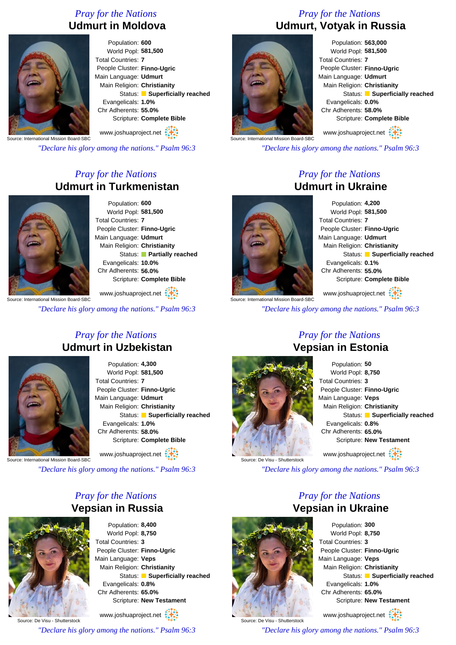### *Pray for the Nations* **Udmurt in Moldova**



Population: **600** World Popl: **581,500** Total Countries: **7** People Cluster: **Finno-Ugric** Main Language: **Udmurt** Main Religion: **Christianity** Status: **Superficially reached** Evangelicals: **1.0%** Chr Adherents: **55.0%** Scripture: **Complete Bible** www.joshuaproject.net

Source: International Mission Board-SBC

*"Declare his glory among the nations." Psalm 96:3*

### *Pray for the Nations* **Udmurt in Turkmenistan**



Population: **600** World Popl: **581,500** Total Countries: **7** People Cluster: **Finno-Ugric** Main Language: **Udmurt** Main Religion: **Christianity** Status: **Partially reached** Evangelicals: **10.0%** Chr Adherents: **56.0%** Scripture: **Complete Bible**

www.joshuaproject.net

*"Declare his glory among the nations." Psalm 96:3*

### *Pray for the Nations* **Udmurt in Uzbekistan**



Population: **4,300** World Popl: **581,500** Total Countries: **7** People Cluster: **Finno-Ugric** Main Language: **Udmurt** Main Religion: **Christianity** Status: **Superficially reached** Evangelicals: **1.0%** Chr Adherents: **58.0%** Scripture: **Complete Bible** www.joshuaproject.net

Source: International Mission Board-SBC

*"Declare his glory among the nations." Psalm 96:3*

### *Pray for the Nations* **Vepsian in Russia**



Population: **8,400** World Popl: **8,750** Total Countries: **3** People Cluster: **Finno-Ugric** Main Language: **Veps** Main Religion: **Christianity** Status: **Superficially reached** Evangelicals: **0.8%** Chr Adherents: **65.0%** Scripture: **New Testament** www.joshuaproject.net

Source: De Visu - Shutterstock *"Declare his glory among the nations." Psalm 96:3*

### *Pray for the Nations* **Udmurt, Votyak in Russia**



Population: **563,000** World Popl: **581,500** Total Countries: **7** People Cluster: **Finno-Ugric** Main Language: **Udmurt** Main Religion: **Christianity** Status: **Superficially reached** Evangelicals: **0.0%** Chr Adherents: **58.0%** Scripture: **Complete Bible** www.joshuaproject.net

Source: International Mission Board-SBC

*"Declare his glory among the nations." Psalm 96:3*

### *Pray for the Nations* **Udmurt in Ukraine**



Population: **4,200** World Popl: **581,500** Total Countries: **7** People Cluster: **Finno-Ugric** Main Language: **Udmurt** Main Religion: **Christianity** Status: **Superficially reached** Evangelicals: **0.1%** Chr Adherents: **55.0%** Scripture: **Complete Bible**

**Communist Contract Contract Contract Contract Contract Contract Contract Contract Contract Contract Contract C** www.joshuaproject.net

*"Declare his glory among the nations." Psalm 96:3*

Source: De Visu - Shutterstock

### Population: **50** World Popl: **8,750** Total Countries: **3** People Cluster: **Finno-Ugric** Main Language: **Veps** Main Religion: **Christianity** Status: **Superficially reached** Evangelicals: **0.8%** Chr Adherents: **65.0%** Scripture: **New Testament**

www.joshuaproject.net

*"Declare his glory among the nations." Psalm 96:3*

### *Pray for the Nations* **Vepsian in Ukraine**



Source: De Visu - Shutterstock

Population: **300** World Popl: **8,750** Total Countries: **3** People Cluster: **Finno-Ugric** Main Language: **Veps** Main Religion: **Christianity** Status: **Superficially reached** Evangelicals: **1.0%** Chr Adherents: **65.0%** Scripture: **New Testament**

www.joshuaproject.net